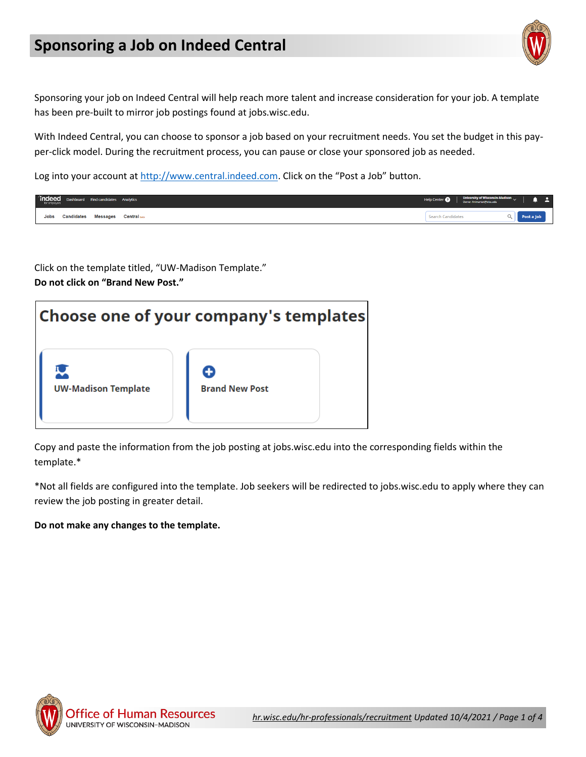## **Sponsoring a Job on Indeed Central**



Sponsoring your job on Indeed Central will help reach more talent and increase consideration for your job. A template has been pre-built to mirror job postings found at jobs.wisc.edu.

With Indeed Central, you can choose to sponsor a job based on your recruitment needs. You set the budget in this payper-click model. During the recruitment process, you can pause or close your sponsored job as needed.

Log into your account at [http://www.central.indeed.com.](http://www.central.indeed.com/) Click on the "Post a Job" button.

| $\boxed{\text{indeed}}_{\text{for groups}} \quad \text{Dashboard} \quad \text{Find candidates} \quad \text{Analytic}$ |                 |                     | <b>Help Center</b> | <b>University of Wisconsin-Madison</b><br>wner: finimarten@wisc.edu |  |  |
|-----------------------------------------------------------------------------------------------------------------------|-----------------|---------------------|--------------------|---------------------------------------------------------------------|--|--|
| <b>Candidates</b><br>Jobs                                                                                             | <b>Messages</b> | <b>Central</b> beta |                    |                                                                     |  |  |

Click on the template titled, "UW-Madison Template." **Do not click on "Brand New Post."**



Copy and paste the information from the job posting at jobs.wisc.edu into the corresponding fields within the template.\*

\*Not all fields are configured into the template. Job seekers will be redirected to jobs.wisc.edu to apply where they can review the job posting in greater detail.

## **Do not make any changes to the template.**

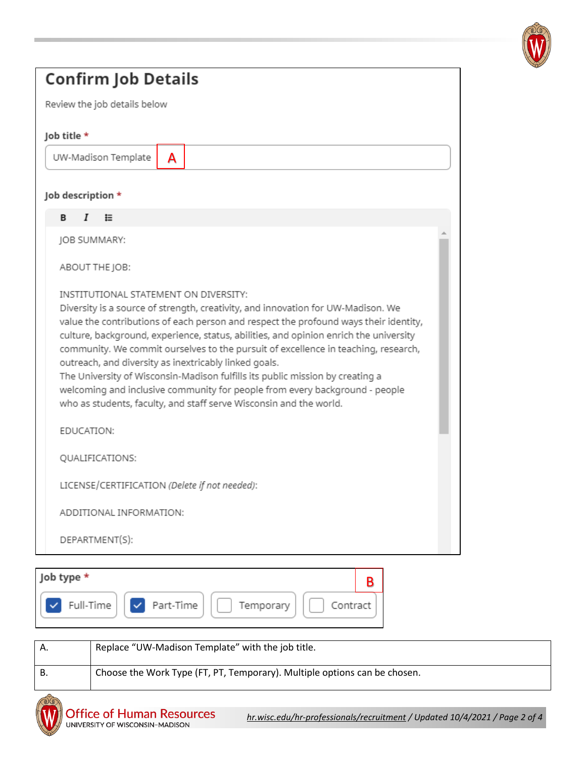

| <b>Confirm Job Details</b>                                                                                                                                                                                                                                                                                                                                                                                                                                                                                                                                         |  |  |  |  |  |
|--------------------------------------------------------------------------------------------------------------------------------------------------------------------------------------------------------------------------------------------------------------------------------------------------------------------------------------------------------------------------------------------------------------------------------------------------------------------------------------------------------------------------------------------------------------------|--|--|--|--|--|
| Review the job details below                                                                                                                                                                                                                                                                                                                                                                                                                                                                                                                                       |  |  |  |  |  |
| Job title *                                                                                                                                                                                                                                                                                                                                                                                                                                                                                                                                                        |  |  |  |  |  |
| UW-Madison Template<br>A                                                                                                                                                                                                                                                                                                                                                                                                                                                                                                                                           |  |  |  |  |  |
| Job description *                                                                                                                                                                                                                                                                                                                                                                                                                                                                                                                                                  |  |  |  |  |  |
| 挂<br>Ι<br>в                                                                                                                                                                                                                                                                                                                                                                                                                                                                                                                                                        |  |  |  |  |  |
| JOB SUMMARY:                                                                                                                                                                                                                                                                                                                                                                                                                                                                                                                                                       |  |  |  |  |  |
| ABOUT THE JOB:                                                                                                                                                                                                                                                                                                                                                                                                                                                                                                                                                     |  |  |  |  |  |
| value the contributions of each person and respect the profound ways their identity,<br>culture, background, experience, status, abilities, and opinion enrich the university<br>community. We commit ourselves to the pursuit of excellence in teaching, research,<br>outreach, and diversity as inextricably linked goals.<br>The University of Wisconsin-Madison fulfills its public mission by creating a<br>welcoming and inclusive community for people from every background - people<br>who as students, faculty, and staff serve Wisconsin and the world. |  |  |  |  |  |
| EDUCATION:                                                                                                                                                                                                                                                                                                                                                                                                                                                                                                                                                         |  |  |  |  |  |
| QUALIFICATIONS:                                                                                                                                                                                                                                                                                                                                                                                                                                                                                                                                                    |  |  |  |  |  |
| LICENSE/CERTIFICATION (Delete if not needed):                                                                                                                                                                                                                                                                                                                                                                                                                                                                                                                      |  |  |  |  |  |
| ADDITIONAL INFORMATION:                                                                                                                                                                                                                                                                                                                                                                                                                                                                                                                                            |  |  |  |  |  |
| DEPARTMENT(S):                                                                                                                                                                                                                                                                                                                                                                                                                                                                                                                                                     |  |  |  |  |  |
| Job type *<br>B<br>Part-Time<br>Full-Time<br>Temporary<br>Contract                                                                                                                                                                                                                                                                                                                                                                                                                                                                                                 |  |  |  |  |  |

| А. | Replace "UW-Madison Template" with the job title.                         |
|----|---------------------------------------------------------------------------|
| В. | Choose the Work Type (FT, PT, Temporary). Multiple options can be chosen. |

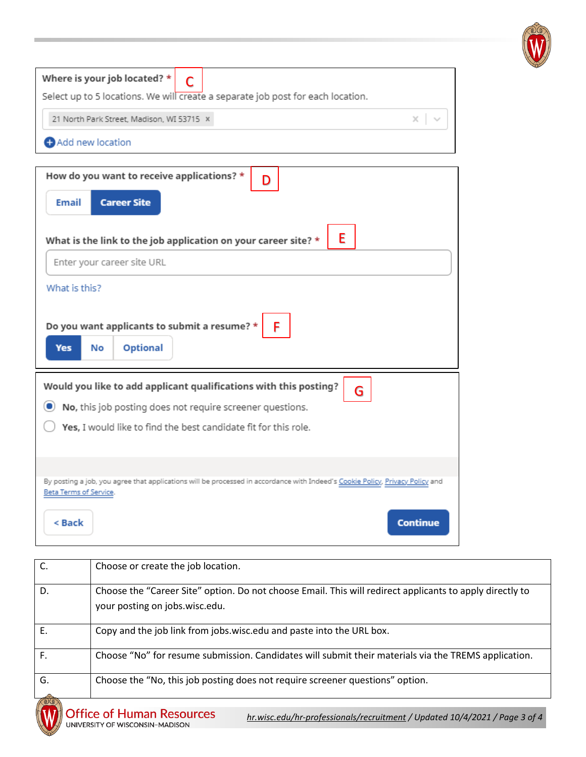

| Where is your job located? $\star$ $\bullet$<br>Select up to 5 locations. We will create a separate job post for each location. |  |  |  |  |
|---------------------------------------------------------------------------------------------------------------------------------|--|--|--|--|
| 21 North Park Street, Madison, WI 53715 X<br>$\times$                                                                           |  |  |  |  |
| Add new location                                                                                                                |  |  |  |  |

| How do you want to receive applications? *<br>D                                                                                                         |
|---------------------------------------------------------------------------------------------------------------------------------------------------------|
| <b>Career Site</b><br><b>Email</b>                                                                                                                      |
| E<br>What is the link to the job application on your career site? *                                                                                     |
| Enter your career site URL                                                                                                                              |
| What is this?                                                                                                                                           |
| Do you want applicants to submit a resume? *<br>F<br><b>Optional</b><br>Yes<br>No                                                                       |
| Would you like to add applicant qualifications with this posting?<br>G                                                                                  |
| No, this job posting does not require screener questions.<br>$\left( \begin{matrix} \bullet \\ \bullet \end{matrix} \right)$                            |
| Yes, I would like to find the best candidate fit for this role.                                                                                         |
|                                                                                                                                                         |
| By posting a job, you agree that applications will be processed in accordance with Indeed's Cookie Policy, Privacy Policy and<br>Beta Terms of Service. |
| < Back<br>Continue                                                                                                                                      |

| C. | Choose or create the job location.                                                                                                         |
|----|--------------------------------------------------------------------------------------------------------------------------------------------|
| D. | Choose the "Career Site" option. Do not choose Email. This will redirect applicants to apply directly to<br>your posting on jobs.wisc.edu. |
| Ε. | Copy and the job link from jobs.wisc.edu and paste into the URL box.                                                                       |
| F. | Choose "No" for resume submission. Candidates will submit their materials via the TREMS application.                                       |
| G. | Choose the "No, this job posting does not require screener questions" option.                                                              |